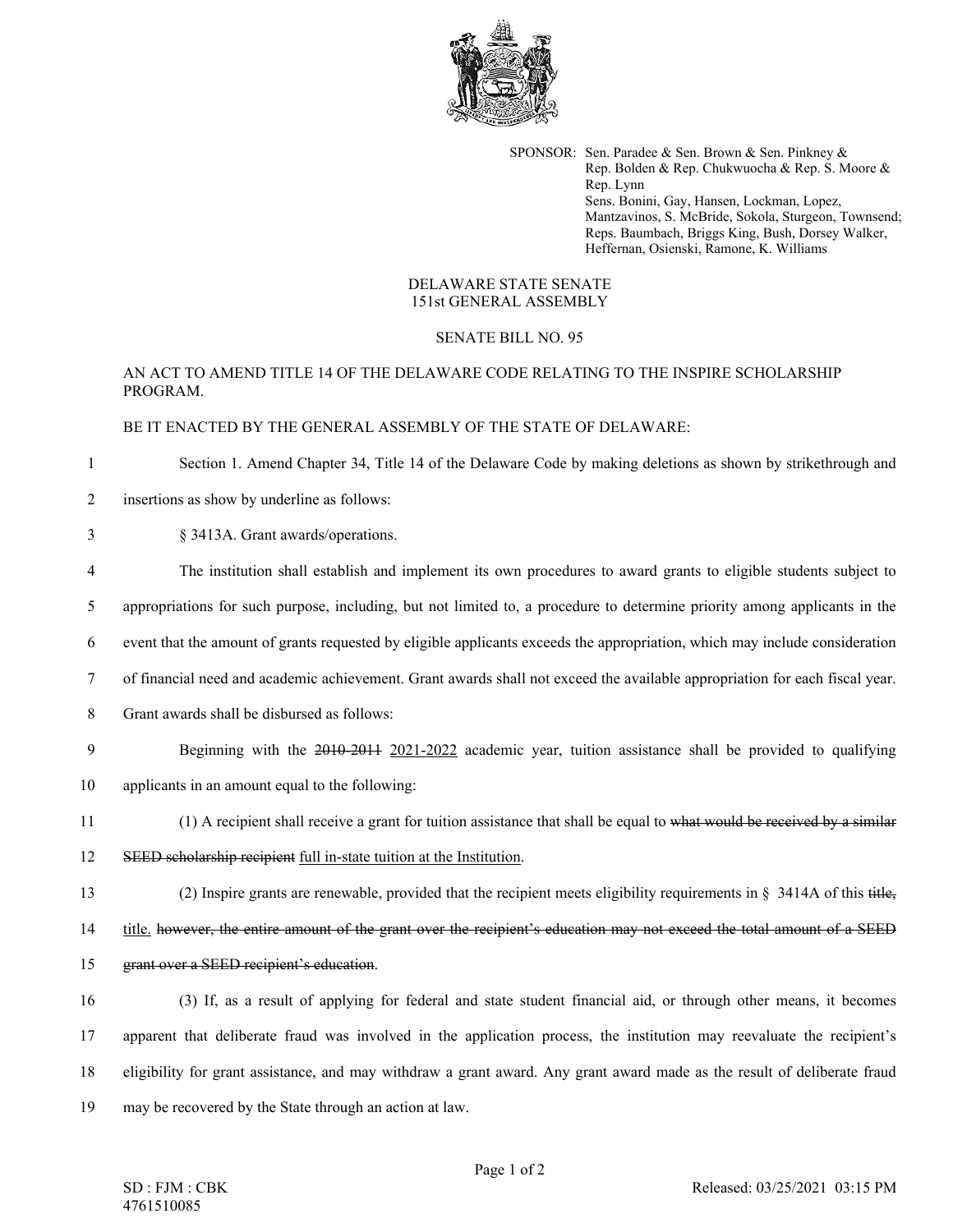

SPONSOR: Sen. Paradee & Sen. Brown & Sen. Pinkney & Rep. Bolden & Rep. Chukwuocha & Rep. S. Moore & Rep. Lynn Sens. Bonini, Gay, Hansen, Lockman, Lopez, Mantzavinos, S. McBride, Sokola, Sturgeon, Townsend; Reps. Baumbach, Briggs King, Bush, Dorsey Walker, Heffernan, Osienski, Ramone, K. Williams

## DELAWARE STATE SENATE 151st GENERAL ASSEMBLY

### SENATE BILL NO. 95

# AN ACT TO AMEND TITLE 14 OF THE DELAWARE CODE RELATING TO THE INSPIRE SCHOLARSHIP PROGRAM.

#### BE IT ENACTED BY THE GENERAL ASSEMBLY OF THE STATE OF DELAWARE:

- 1 Section 1. Amend Chapter 34, Title 14 of the Delaware Code by making deletions as shown by strikethrough and
- 2 insertions as show by underline as follows:
- 3 § 3413A. Grant awards/operations.
- 4 The institution shall establish and implement its own procedures to award grants to eligible students subject to
- 5 appropriations for such purpose, including, but not limited to, a procedure to determine priority among applicants in the
- 6 event that the amount of grants requested by eligible applicants exceeds the appropriation, which may include consideration
- 7 of financial need and academic achievement. Grant awards shall not exceed the available appropriation for each fiscal year.
- 8 Grant awards shall be disbursed as follows:
- 9 Beginning with the 2010-2011 2021-2022 academic year, tuition assistance shall be provided to qualifying 10 applicants in an amount equal to the following:
- 11 (1) A recipient shall receive a grant for tuition assistance that shall be equal to what would be received by a similar
- 12 SEED scholarship recipient full in-state tuition at the Institution.
- 13 (2) Inspire grants are renewable, provided that the recipient meets eligibility requirements in  $\S$  3414A of this title,

14 title. however, the entire amount of the grant over the recipient's education may not exceed the total amount of a SEED

15 grant over a SEED recipient's education.

16 (3) If, as a result of applying for federal and state student financial aid, or through other means, it becomes 17 apparent that deliberate fraud was involved in the application process, the institution may reevaluate the recipient's 18 eligibility for grant assistance, and may withdraw a grant award. Any grant award made as the result of deliberate fraud 19 may be recovered by the State through an action at law.